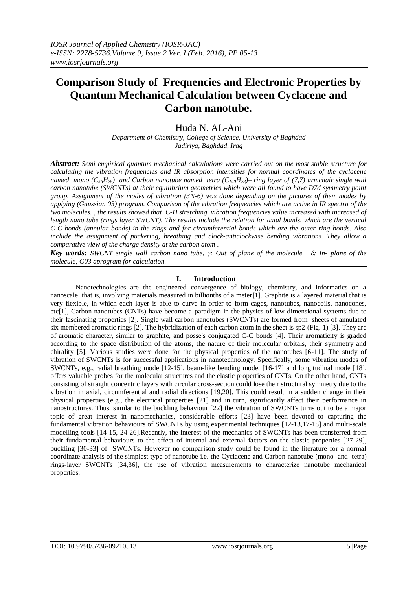# **Comparison Study of Frequencies and Electronic Properties by Quantum Mechanical Calculation between Cyclacene and Carbon nanotube.**

Huda N. AL-Ani

*Department of Chemistry, College of Science, University of Baghdad Jadiriya, Baghdad, Iraq*

*Abstract: Semi empirical quantum mechanical calculations were carried out on the most stable structure for calculating the vibration frequencies and IR absorption intensities for normal coordinates of the cyclacene named mono*  $(C_{56}H_{28})$  and Carbon nanotube named tetra  $(C_{140}H_{28})$ – ring layer of (7,7) armchair single wall *carbon nanotube (SWCNTs) at their equilibrium geometries which were all found to have D7d symmetry point group. Assignment of the modes of vibration (3N-6) was done depending on the pictures of their modes by applying (Gaussian 03) program. Comparison of the vibration frequencies which are active in IR spectra of the two molecules. , the results showed that C-H stretching vibration frequencies value increased with increased of length nano tube (rings layer SWCNT). The results include the relation for axial bonds, which are the vertical C-C bonds (annular bonds) in the rings and for circumferential bonds which are the outer ring bonds. Also include the assignment of puckering, breathing and clock-anticlockwise bending vibrations. They allow a comparative view of the charge density at the carbon atom .*

*Key words: SWCNT single wall carbon nano tube, : Out of plane of the molecule. : In- plane of the molecule, G03 aprogram for calculation.*

## **I. Introduction**

Nanotechnologies are the engineered convergence of biology, chemistry, and informatics on a nanoscale that is, involving materials measured in billionths of a meter[1]. Graphite is a layered material that is very flexible, in which each layer is able to curve in order to form cages, nanotubes, nanocoils, nanocones, etc[1], Carbon nanotubes (CNTs) have become a paradigm in the physics of low-dimensional systems due to their fascinating properties [2]. Single wall carbon nanotubes (SWCNTs) are formed from sheets of annulated six membered aromatic rings [2]. The hybridization of each carbon atom in the sheet is sp2 (Fig. 1) [3]. They are of aromatic character, similar to graphite, and posse's conjugated C-C bonds [4]. Their aromaticity is graded according to the space distribution of the atoms, the nature of their molecular orbitals, their symmetry and chirality [5]. Various studies were done for the physical properties of the nanotubes [6-11]. The study of vibration of SWCNTs is for successful applications in nanotechnology. Specifically, some vibration modes of SWCNTs, e.g., radial breathing mode [12-15], beam-like bending mode, [16-17] and longitudinal mode [18], offers valuable probes for the molecular structures and the elastic properties of CNTs. On the other hand, CNTs consisting of straight concentric layers with circular cross-section could lose their structural symmetry due to the vibration in axial, circumferential and radial directions [19,20]. This could result in a sudden change in their physical properties (e.g., the electrical properties [21] and in turn, significantly affect their performance in nanostructures. Thus, similar to the buckling behaviour [22] the vibration of SWCNTs turns out to be a major topic of great interest in nanomechanics, considerable efforts [23] have been devoted to capturing the fundamental vibration behaviours of SWCNTs by using experimental techniques [12-13,17-18] and multi-scale modelling tools [14-15, 24-26].Recently, the interest of the mechanics of SWCNTs has been transferred from their fundamental behaviours to the effect of internal and external factors on the elastic properties [27-29], buckling [30-33] of SWCNTs. However no comparison study could be found in the literature for a normal coordinate analysis of the simplest type of nanotube i.e. the Cyclacene and Carbon nanotube (mono and tetra) rings-layer SWCNTs [34,36], the use of vibration measurements to characterize nanotube mechanical properties.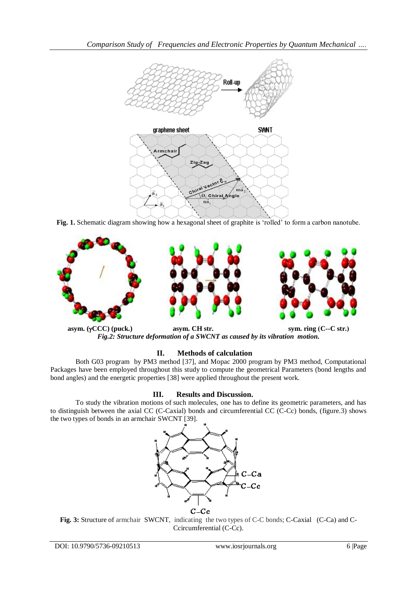

**Fig. 1.** Schematic diagram showing how a hexagonal sheet of graphite is "rolled" to form a carbon nanotube.



**asym.** (γCCC) (puck.) **asym.** CH str. **sym.** ring (C--C str.) *Fig.2: Structure deformation of a SWCNT as caused by its vibration motion.*

## **II. Methods of calculation**

Both G03 program by PM3 method [37], and Mopac 2000 program by PM3 method, Computational Packages have been employed throughout this study to compute the geometrical Parameters (bond lengths and bond angles) and the energetic properties [38] were applied throughout the present work.

## **III. Results and Discussion.**

To study the vibration motions of such molecules, one has to define its geometric parameters, and has to distinguish between the axial CC (C-Caxial) bonds and circumferential CC (C-Cc) bonds, (figure.3) shows the two types of bonds in an armchair SWCNT [39].



Fig. 3: Structure of armchair SWCNT, indicating the two types of C-C bonds; C-Caxial (C-Ca) and C-Ccircumferential (C-Cc).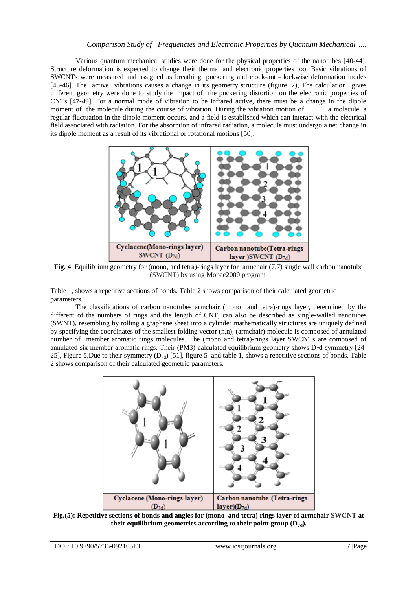Various quantum mechanical studies were done for the physical properties of the nanotubes [40-44]. Structure deformation is expected to change their thermal and electronic properties too. Basic vibrations of SWCNTs were measured and assigned as breathing, puckering and clock-anti-clockwise deformation modes [45-46]. The active vibrations causes a change in its geometry structure (figure. 2), The calculation gives different geometry were done to study the impact of the puckering distortion on the electronic properties of CNTs [47-49]. For a normal mode of vibration to be infrared active, there must be a change in the dipole moment of the molecule during the course of vibration. During the vibration motion of a molecule, a regular fluctuation in the dipole moment occurs, and a field is established which can interact with the electrical field associated with radiation. For the absorption of infrared radiation, a molecule must undergo a net change in its dipole moment as a result of its vibrational or rotational motions [50].



**Fig. 4**: Equilibrium geometry for (mono, and tetra)-rings layer for armchair (7,7) single wall carbon nanotube (SWCNT) by using Mopac2000 program.

Table 1, shows a repetitive sections of bonds. Table 2 shows comparison of their calculated geometric parameters.

The classifications of carbon nanotubes armchair (mono and tetra)-rings layer, determined by the different of the numbers of rings and the length of CNT, can also be described as single-walled nanotubes (SWNT), resembling by rolling a graphene sheet into a cylinder mathematically structures are uniquely defined by specifying the coordinates of the smallest folding vector (n,n), (armchair) molecule is composed of annulated number of member aromatic rings molecules. The (mono and tetra)-rings layer SWCNTs are composed of annulated six member aromatic rings. Their (PM3) calculated equilibrium geometry shows  $D_7d$  symmetry [24-25], Figure 5.Due to their symmetry  $(D_{7d})$  [51], figure 5 and table 1, shows a repetitive sections of bonds. Table 2 shows comparison of their calculated geometric parameters.



**Fig.(5): Repetitive sections of bonds and angles for (mono and tetra) rings layer of armchair SWCNT at**  their equilibrium geometries according to their point group  $(D_{7d})$ .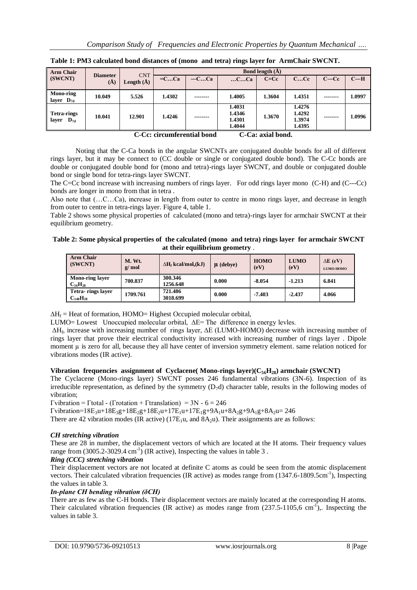| <b>CNT</b><br><b>Diameter</b><br>$=CCa$<br>$-C$ $Ca$<br>CCc<br>$C-Cc$<br>(SWCNT)<br>$C=Cc$<br>CCa<br>Length $(\AA)$<br>(A)<br><b>Mono-ring</b><br>10.049<br>5.526<br>1.4351<br>1.4302<br>1.4005<br>1.3604<br>--------<br>--------<br>layer $D_{7d}$<br>1.4276<br>1.4031<br>1.4292<br>1.4346<br><b>Tetra-rings</b><br>10.041<br>12.901<br>1.3670<br>1.4246<br>--------<br>--------<br>1.4301<br>1.3974<br>laver<br>$\mathbf{D}_{7d}$ | <b>Arm Chair</b> |  | <b>Bond length</b> $(A)$ |  |        |  |        |  |        |
|-------------------------------------------------------------------------------------------------------------------------------------------------------------------------------------------------------------------------------------------------------------------------------------------------------------------------------------------------------------------------------------------------------------------------------------|------------------|--|--------------------------|--|--------|--|--------|--|--------|
|                                                                                                                                                                                                                                                                                                                                                                                                                                     |                  |  |                          |  |        |  |        |  | $C-H$  |
|                                                                                                                                                                                                                                                                                                                                                                                                                                     |                  |  |                          |  |        |  |        |  | 1.0997 |
|                                                                                                                                                                                                                                                                                                                                                                                                                                     |                  |  |                          |  | 1.4044 |  | 1.4395 |  | 1.0996 |

**Table 1: PM3 calculated bond distances of (mono and tetra) rings layer for ArmChair SWCNT.**

 **C-Cc: circumferential bond C-Ca: axial bond.**

Noting that the C-Ca bonds in the angular SWCNTs are conjugated double bonds for all of different rings layer, but it may be connect to (CC double or single or conjugated double bond). The C-Cc bonds are double or conjugated double bond for (mono and tetra)-rings layer SWCNT, and double or conjugated double bond or single bond for tetra-rings layer SWCNT.

The C=Cc bond increase with increasing numbers of rings layer. For odd rings layer mono (C-H) and (C---Cc) bonds are longer in mono from that in tetra .

Also note that (…C…Ca), increase in length from outer to centre in mono rings layer, and decrease in length from outer to centre in tetra-rings layer. Figure 4, table 1.

Table 2 shows some physical properties of calculated (mono and tetra)-rings layer for armchair SWCNT at their equilibrium geometry.

**Table 2: Some physical properties of the calculated (mono and tetra) rings layer for armchair SWCNT at their equilibrium geometry** .

| <b>Arm Chair</b><br>(SWCNT)          | M. Wt.<br>g/mol | $\Delta H_f$ kcal/mol,(kJ) | $\mu$ (debye) | <b>HOMO</b><br>(eV) | <b>LUMO</b><br>(eV) | $\Delta E$ (eV)<br>LUMO-HOMO |
|--------------------------------------|-----------------|----------------------------|---------------|---------------------|---------------------|------------------------------|
| Mono-ring layer<br>$C_{56}H_{28}$    | 700.837         | 300.346<br>1256.648        | 0.000         | $-8.054$            | $-1.213$            | 6.841                        |
| Tetra-rings layer<br>$C_{140}H_{28}$ | 1709.761        | 721.486<br>3018.699        | 0.000         | $-7.403$            | $-2.437$            | 4.066                        |

 $\Delta H_f$  = Heat of formation, HOMO= Highest Occupied molecular orbital,

LUMO= Lowest Unoccupied molecular orbital, ∆E= The difference in energy levles.

∆H<sup>f</sup> , increase with increasing number of rings layer, ∆E (LUMO-HOMO) decrease with increasing number of rings layer that prove their electrical conductivity increased with increasing number of rings layer . Dipole moment  $\mu$  is zero for all, because they all have center of inversion symmetry element. same relation noticed for vibrations modes (IR active).

## **Vibration frequencies assignment of Cyclacene( Mono-rings layer)(C56H28) armchair (SWCNT)**

The Cyclacene (Mono-rings layer) SWCNT posses 246 fundamental vibrations (3N-6). Inspection of its irreducible representation, as defined by the symmetry  $(D_7d)$  character table, results in the following modes of vibration;

 $\Gamma$ vibration =  $\Gamma$ total - ( $\Gamma$ rotation +  $\Gamma$ translation) = 3N - 6 = 246

 $\Gamma$ vibration=18E<sub>3</sub>u+18E<sub>3</sub>g+18E<sub>2</sub>g+18E<sub>2</sub>u+17E<sub>1</sub>u+17E<sub>1</sub>g+9A<sub>1</sub>u+8A<sub>2</sub>g+9A<sub>1</sub>g+8A<sub>2</sub>u= 246

There are 42 vibration modes (IR active)  $(17E_1u, \text{ and } 8A_2u)$ . Their assignments are as follows:

## *CH stretching vibration*

These are 28 in number, the displacement vectors of which are located at the H atoms. Their frequency values range from  $(3005.2\n-3029.4 \text{ cm}^{-1})$  (IR active), Inspecting the values in table 3.

## *Ring (CCC) stretching vibration*

Their displacement vectors are not located at definite C atoms as could be seen from the atomic displacement vectors. Their calculated vibration frequencies (IR active) as modes range from (1347.6-1809.5cm<sup>-1</sup>), Inspecting the values in table 3.

## *In-plane CH bending vibration (δCH)*

There are as few as the C-H bonds. Their displacement vectors are mainly located at the corresponding H atoms. Their calculated vibration frequencies (IR active) as modes range from  $(237.5-1105,6 \text{ cm}^{-1})$ ,. Inspecting the values in table 3.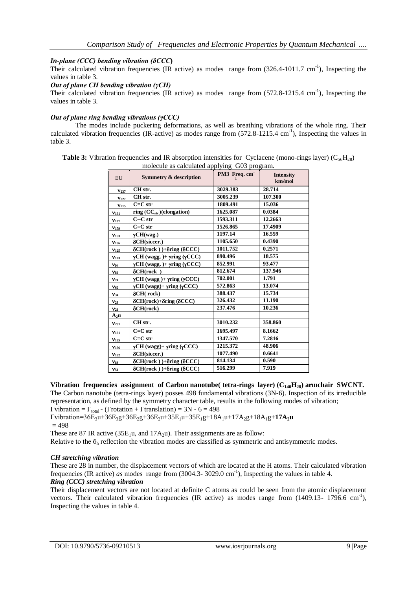### *In-plane (CCC) bending vibration (δCCC***)**

Their calculated vibration frequencies (IR active) as modes range from  $(326.4-1011.7 \text{ cm}^{-1})$ , Inspecting the values in table 3.

#### *Out of plane CH bending vibration (γCH)*

Their calculated vibration frequencies (IR active) as modes range from  $(572.8-1215.4 \text{ cm}^{-1})$ , Inspecting the values in table 3.

#### *Out of plane ring bending vibrations (γCCC)*

The modes include puckering deformations, as well as breathing vibrations of the whole ring. Their calculated vibration frequencies (IR-active) as modes range from (572.8-1215.4 cm<sup>-1</sup>), Inspecting the values in table 3.

**Table 3:** Vibration frequencies and IR absorption intensities for Cyclacene (mono-rings layer) ( $C_{56}H_{28}$ ) molecule as calculated applying G03 program.

| EU                | <b>Symmetry &amp; description</b>                   | PM3 Freq. cm | <b>Intensity</b><br>km/mol |
|-------------------|-----------------------------------------------------|--------------|----------------------------|
| $V_{237}$         | CH str.                                             | 3029.383     | 28.714                     |
| $V_{227}$         | CH str.                                             | 3005.239     | 107.300                    |
| V <sub>215</sub>  | $C=C str$                                           | 1809.491     | 15.036                     |
| $V_{191}$         | ring $(CC_{str.})$ (elongation)                     | 1625.087     | 0.0384                     |
| $v_{187}$         | $C-C str$                                           | 1593.311     | 12.2663                    |
| V <sub>179</sub>  | $C=C str$                                           | 1526.865     | 17.4909                    |
| $V_{153}$         | $\gamma$ CH(wag.)                                   | 1197.14      | 16.559                     |
| V <sub>136</sub>  | δCH(siccer.)                                        | 1105.650     | 0.4390                     |
| V <sub>125</sub>  | $\delta$ CH(rock))+ $\delta$ ring ( $\delta$ CCC)   | 1011.752     | 0.2571                     |
| $V_{103}$         | $\gamma$ CH (wagg.) + $\gamma$ ring ( $\gamma$ CCC) | 890.496      | 18.575                     |
| $V_{94}$          | $\gamma$ CH (wagg.) + $\gamma$ ring ( $\gamma$ CCC) | 852.991      | 93.477                     |
| $\mathbf{v}_{86}$ | $\delta$ CH(rock)                                   | 812.674      | 137.946                    |
| $V_{74}$          | $\gamma$ CH (wagg) + $\gamma$ ring ( $\gamma$ CCC)  | 702.001      | 1.791                      |
| ${\bf v}_{60}$    | $\gamma$ CH (wagg)+ $\gamma$ ring ( $\gamma$ CCC)   | 572.863      | 13.074                     |
| $V_{34}$          | $\delta$ CH(rock)                                   | 388.437      | 15.734                     |
| $v_{28}$          | $\delta$ CH(rock)+ $\delta$ ring ( $\delta$ CCC)    | 326.432      | 11.190                     |
| $v_{21}$          | $\delta$ CH(rock)                                   | 237.476      | 10.236                     |
| $A_2u$            |                                                     |              |                            |
| V <sub>231</sub>  | CH <sub>str.</sub>                                  | 3010.232     | 358.860                    |
| $V_{191}$         | $C=C str$                                           | 1695.497     | 8.1662                     |
| V <sub>165</sub>  | $C=C str$                                           | 1347.570     | 7.2816                     |
| V <sub>156</sub>  | $\gamma$ CH (wagg)+ $\gamma$ ring ( $\gamma$ CCC)   | 1215.372     | 48.906                     |
| $V_{132}$         | δCH(siccer.)                                        | 1077.490     | 0.6641                     |
| $v_{88}$          | $\delta$ CH(rock))+ $\delta$ ring ( $\delta$ CCC)   | 814.134      | 0.590                      |
| $V_{51}$          | $\delta$ CH(rock))+ $\delta$ ring ( $\delta$ CCC)   | 516.299      | 7.919                      |

**Vibration frequencies assignment of Carbon nanotube( tetra-rings layer) (C140H28) armchair SWCNT.**

The Carbon nanotube (tetra-rings layer) posses 498 fundamental vibrations (3N-6). Inspection of its irreducible representation, as defined by the symmetry character table, results in the following modes of vibration;

 $\Gamma$ vibration =  $\Gamma_{\text{total}}$  - ( $\Gamma$ rotation +  $\Gamma$ translation) = 3N - 6 = 498  $T$ vibration=36E<sub>3</sub>u+36E<sub>3</sub>g+36E<sub>2</sub>g+36E<sub>2</sub>u+35E<sub>1</sub>u+35E<sub>1</sub>g+18A<sub>1</sub>u+17A<sub>2</sub>g+18A<sub>1</sub>g+**17A<sub>2</sub>u** 

 $= 498$ 

These are 87 IR active (35 $E_1$ u, and 17 $A_2$ u). Their assignments are as follow:

Relative to the  $\delta_h$  reflection the vibration modes are classified as symmetric and antisymmetric modes.

#### *CH stretching vibration*

These are 28 in number, the displacement vectors of which are located at the H atoms. Their calculated vibration frequencies (IR active) *as* modes range from (3004.3-3029.0 cm<sup>-1</sup>), Inspecting the values in table 4.

## *Ring (CCC) stretching vibration*

Their displacement vectors are not located at definite C atoms as could be seen from the atomic displacement vectors. Their calculated vibration frequencies (IR active) as modes range from  $(1409.13 - 1796.6 \text{ cm}^{-1})$ , Inspecting the values in table 4.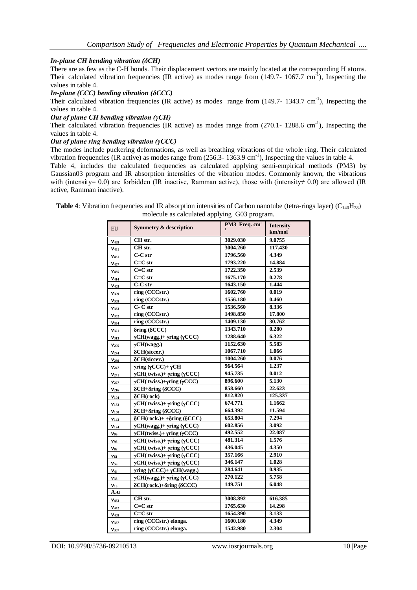### *In-plane CH bending vibration (δCH)*

There are as few as the C-H bonds. Their displacement vectors are mainly located at the corresponding H atoms. Their calculated vibration frequencies (IR active) as modes range from  $(149.7 - 1067.7 \text{ cm}^2)$ , Inspecting the values in table 4.

## *In-plane (CCC) bending vibration (δCCC)*

Their calculated vibration frequencies (IR active) as modes range from  $(149.7-1343.7 \text{ cm}^{-1})$ , Inspecting the values in table 4.

#### *Out of plane CH bending vibration (γCH)*

Their calculated vibration frequencies (IR active) as modes range from  $(270.1 - 1288.6 \text{ cm}^{-1})$ , Inspecting the values in table 4.

#### *Out of plane ring bending vibration (γCCC)*

The modes include puckering deformations, as well as breathing vibrations of the whole ring. Their calculated vibration frequencies (IR active) as modes range from (256.3-1363.9 cm<sup>-1</sup>), Inspecting the values in table 4.

Table 4, includes the calculated frequencies as calculated applying semi-empirical methods (PM3) by Gaussian03 program and IR absorption intensities of the vibration modes. Commonly known, the vibrations with (intensity= 0.0) are forbidden (IR inactive, Ramman active), those with (intensity≠ 0.0) are allowed (IR active, Ramman inactive).

| EU               | Symmetry & description                              | PM3 Freq. cm | <b>Intensity</b> |
|------------------|-----------------------------------------------------|--------------|------------------|
|                  |                                                     |              | km/mol           |
| V <sub>489</sub> | CH str.                                             | 3029.030     | 9.0755           |
| $V_{481}$        | CH str.                                             | 3004.260     | 117.430          |
| $V_{461}$        | $C-C str$                                           | 1796.560     | 4.349            |
| $V_{457}$        | $C=C str$                                           | 1793.220     | 14.884           |
| V <sub>435</sub> | $C=C str$                                           | 1722.350     | 2.539            |
| $V_{414}$        | $C=C str$                                           | 1675.170     | 0.278            |
| $V_{403}$        | $C-C str$                                           | 1643.150     | 1.444            |
| V <sub>399</sub> | ring (CCCstr.)                                      | 1602.760     | 0.019            |
| $V_{369}$        | ring (CCCstr.)                                      | 1556.180     | 0.460            |
| $V_{363}$        | C-C str                                             | 1536.560     | 8.336            |
| $V_{352}$        | ring (CCCstr.)                                      | 1498.850     | 17.800           |
| V <sub>334</sub> | ring (CCCstr.)                                      | 1409.130     | 30.762           |
| $V_{321}$        | $\delta$ ring ( $\delta$ CCC)                       | 1343.710     | 0.280            |
| V <sub>313</sub> | $\gamma$ CH(wagg.)+ $\gamma$ ring ( $\gamma$ CCC)   | 1288.640     | 6.322            |
| V <sub>295</sub> | $\gamma$ CH(wagg.)                                  | 1152.630     | 5.583            |
| $V_{274}$        | δCH(siccer.)                                        | 1067.710     | 1.066            |
| $V_{260}$        | δCH(siccer.)                                        | 1004.260     | 0.076            |
| $V_{247}$        | $\gamma$ ring (γCCC)+ γCH                           | 964.564      | 1.237            |
| $v_{241}$        | $\gamma$ CH(twiss.)+ $\gamma$ ring ( $\gamma$ CCC)  | 945.735      | 0.012            |
| $v_{227}$        | $\gamma$ CH(twiss.)+ $\gamma$ ring ( $\gamma$ CCC)  | 896.600      | 5.130            |
| V <sub>216</sub> | $\delta$ CH+ $\delta$ ring ( $\delta$ CCC)          | 858.660      | 22.623           |
| $V_{194}$        | $\delta$ CH(rock)                                   | 812.820      | 125.337          |
| $V_{153}$        | $\gamma$ CH( twiss.)+ $\gamma$ ring ( $\gamma$ CCC) | 674.771      | 1.1662           |
| $v_{150}$        | $\delta$ CH+ $\delta$ ring ( $\delta$ CCC)          | 664.392      | 11.594           |
| V <sub>143</sub> | $\delta$ CH(rock.)+ + $\delta$ ring ( $\delta$ CCC) | 653.804      | 7.294            |
| $V_{124}$        | $\gamma$ CH(wagg.)+ $\gamma$ ring ( $\gamma$ CCC)   | 602.856      | 3.092            |
| $V_{99}$         | $\gamma$ CH(twiss.)+ $\gamma$ ring ( $\gamma$ CCC)  | 492.552      | 22.087           |
| $v_{95}$         | $\gamma$ CH( twiss.)+ $\gamma$ ring ( $\gamma$ CCC) | 481.314      | 1.576            |
| $v_{82}$         | $\gamma$ CH(twiss.)+ $\gamma$ ring ( $\gamma$ CCC)  | 436.045      | 4.350            |
| $v_{61}$         | $\gamma$ CH( twiss.)+ $\gamma$ ring ( $\gamma$ CCC) | 357.166      | 2.910            |
| $V_{59}$         | $\gamma$ CH(twiss.)+ $\gamma$ ring ( $\gamma$ CCC)  | 346.147      | 1.028            |
| $v_{44}$         | $\gamma$ ring ( $\gamma$ CCC)+ $\gamma$ CH(wagg.)   | 284.641      | 0.935            |
| $v_{38}$         | $\gamma$ CH(wagg.)+ $\gamma$ ring ( $\gamma$ CCC)   | 270.122      | 5.758            |
| $v_{13}$         | $\delta$ CH(rock.)+ $\delta$ ring ( $\delta$ CCC)   | 149.751      | 6.048            |
| $A_2u$           |                                                     |              |                  |
| $V_{483}$        | CH str.                                             | 3008.892     | 616.385          |
| $V_{442}$        | $C=C str$                                           | 1765.630     | 14.298           |
| $V_{409}$        | $C=C str$                                           | 1654.390     | 3.133            |
| $V_{387}$        | ring (CCCstr.) elonga.                              | 1600.180     | 4.349            |
| $V_{367}$        | ring (CCCstr.) elonga.                              | 1542.980     | 2.304            |

**Table 4:** Vibration frequencies and IR absorption intensities of Carbon nanotube (tetra-rings layer) ( $C_{140}H_{28}$ ) molecule as calculated applying G03 program.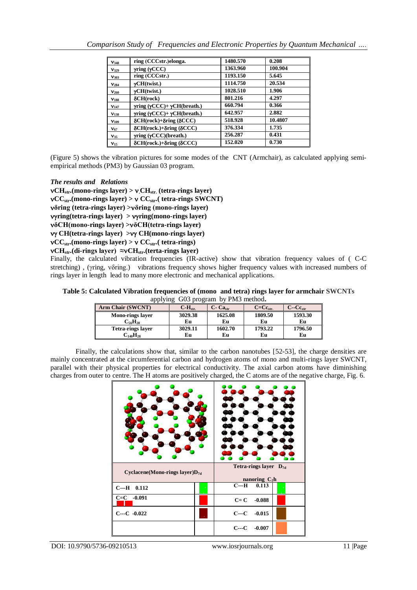| V <sub>348</sub> | ring (CCCstr.)elonga.                               | 1480.570 | 0.208   |
|------------------|-----------------------------------------------------|----------|---------|
| $V_{329}$        | $\gamma$ ring ( $\gamma$ CCC)                       | 1363.960 | 100.904 |
| V <sub>303</sub> | ring (CCCstr.)                                      | 1193.150 | 5.645   |
| V <sub>284</sub> | $\gamma$ CH(twist.)                                 | 1114.750 | 20.534  |
| $V_{260}$        | $\gamma$ CH(twist.)                                 | 1028.510 | 1.906   |
| $v_{188}$        | $\delta$ CH(rock)                                   | 801.216  | 4.297   |
| $V_{147}$        | $\gamma$ ring ( $\gamma$ CCC)+ $\gamma$ CH(breath.) | 660.794  | 0.366   |
| V <sub>138</sub> | $\gamma$ ring ( $\gamma$ CCC)+ $\gamma$ CH(breath.) | 642.957  | 2.882   |
| $V_{109}$        | $\delta$ CH(rock)+ $\delta$ ring ( $\delta$ CCC)    | 518.928  | 10.4807 |
| $V_{67}$         | $\delta$ CH(rock.)+ $\delta$ ring ( $\delta$ CCC)   | 376.334  | 1.735   |
| $V_{35}$         | $\gamma$ ring ( $\gamma$ CCC)(breath.)              | 256.287  | 0.431   |
| $V_{15}$         | $\delta$ CH(rock.)+ $\delta$ ring ( $\delta$ CCC)   | 152.020  | 0.730   |

(Figure 5) shows the vibration pictures for some modes of the CNT (Armchair), as calculated applying semiempirical methods (PM3) by Gaussian 03 program.

## *The results and Relations*

 $vCH_{str.}$ (mono-rings layer) >  $v(CH_{str.}$  (tetra-rings layer)  $\mathbf{vCC}_{str}$ **.(mono-rings layer)** >  $\mathbf{vCC}_{str}$ **.( tetra-rings SWCNT) δring (tetra-rings layer) >δring (mono-rings layer)**  *v***yring(tetra-rings layer) >** *v***yring(mono-rings layer) δCH(mono-rings layer) >δCH(tetra-rings layer) CH(tetra-rings layer) > CH(mono-rings layer)**  $\mathbf{vCC}_{\text{str}}$ (mono-rings layer) >  $\mathbf{vCC}_{\text{str}}$  (**tetra-rings**) **CHstr.(di-rings layer) ≈CHstr.(terta-rings layer)**

Finally, the calculated vibration frequencies (IR-active) show that vibration frequency values of ( C-C stretching), (γring, νδring.) vibrations frequency shows higher frequency values with increased numbers of rings layer in length lead to many more electronic and mechanical applications.

**Table 5: Calculated Vibration frequencies of (mono and tetra) rings layer for armchair SWCNTs**  applying G03 program by PM3 method**.**

| $\mu$<br>OUS DIVERGILI OV LIVIS HIGHIOU. |           |               |                  |              |  |  |  |  |
|------------------------------------------|-----------|---------------|------------------|--------------|--|--|--|--|
| Arm Chair (SWCNT)                        | $C-Hstr.$ | $C$ - $Castr$ | $C=C_{\rm str.}$ | $C-Cc_{str}$ |  |  |  |  |
| <b>Mono-rings layer</b>                  | 3029.38   | 1625.08       | 1809.50          | 1593.30      |  |  |  |  |
| $C_{56}H_{28}$                           | Eu        | Eu            | Eu               | Eu           |  |  |  |  |
| <b>Tetra-rings laver</b>                 | 3029.11   | 1602.70       | 1793.22          | 1796.50      |  |  |  |  |
| $\mathrm{C_{140}H_{28}}$                 | Eu        | Eu            | Eu               | Eu           |  |  |  |  |

Finally, the calculations show that, similar to the carbon nanotubes [52-53], the charge densities are mainly concentrated at the circumferential carbon and hydrogen atoms of mono and multi-rings layer SWCNT, parallel with their physical properties for electrical conductivity. The axial carbon atoms have diminishing charges from outer to centre. The H atoms are positively charged, the C atoms are of the negative charge, Fig. 6.

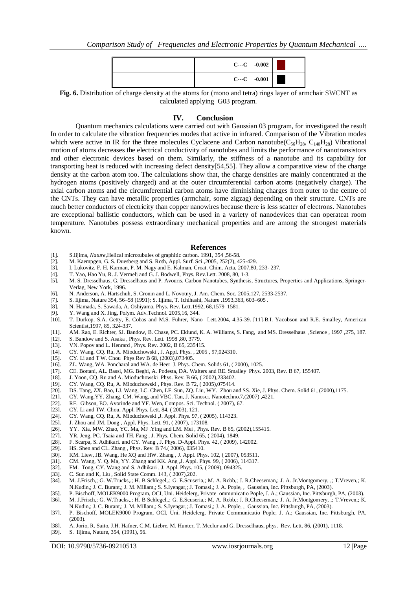|  |                    | $C$ --- $C$ -0.002 |  |
|--|--------------------|--------------------|--|
|  | $C$ --- $C$ -0.001 |                    |  |

**Fig. 6.** Distribution of charge density at the atoms for (mono and tetra) rings layer of armchair SWCNT as calculated applying G03 program.

#### **IV. Conclusion**

Quantum mechanics calculations were carried out with Gaussian 03 program, for investigated the result In order to calculate the vibration frequencies modes that active in infrared. Comparison of the Vibration modes which were active in IR for the three molecules Cyclacene and Carbon nanotube( $C_{56}H_{28}$ ,  $C_{140}H_{28}$ ) Vibrational motion of atoms decreases the electrical conductivity of nanotubes and limits the performance of nanotransistors and other electronic devices based on them. Similarly, the stiffness of a nanotube and its capability for transporting heat is reduced with increasing defect density[54,55]. They allow a comparative view of the charge density at the carbon atom too. The calculations show that, the charge densities are mainly concentrated at the hydrogen atoms (positively charged) and at the outer circumferential carbon atoms (negatively charge). The axial carbon atoms and the circumferential carbon atoms have diminishing charges from outer to the centre of the CNTs. They can have metallic properties (armchair, some zigzag) depending on their structure. CNTs are much better conductors of electricity than copper nanowires because there is less scatter of electrons. Nanotubes are exceptional ballistic conductors, which can be used in a variety of nanodevices that can operateat room temperature. Nanotubes possess extraordinary mechanical properties and are among the strongest materials known.

#### **References**

- [1]. S.Iijima, *Nature*,Helical microtubules of graphitic carbon. 1991, 354 ,56-58.
- [2]. M. Kaempgen, G. S. Duesberg and S. Roth, Appl. Surf. Sci.,2005, 252(2), 425-429.
- [3]. I. Lukovitz, F. H. Karman, P. M. Nagy and E. Kalman, Croat. Chim. Acta, 2007,80, 233- 237.
- [4]. T. Yao, Hao Yu, R. J. Vermelj and G. J. Bodwell, Phys. Rev.Lett. 2008, 80, 1-3.
- [5]. M. S. Dresselhaus, G. Dresselhaus and P. Avouris, Carbon Nanotubes, Synthesis, Structures, Properties and Applications, Springer-Verlag, New York, 1996.
- [6]. N. Anderson, A. Hartschuh, S. Cronin and L. Novotny, J. Am. Chem. Soc. 2005,127, 2533-2537.
- [7]. S. Iijima, Nature 354, 56–58 (1991); S. Iijima, T. Ichihashi, Nature .1993,363, 603–605 .
- [8]. N. Hamada, S. Sawada, A. Oshiyama, Phys. Rev. Lett.1992, 68,1579–1581.<br>[9]. Y. Wang and X. Jing, Polym. Adv. Technol. 2005.16, 344.
- Y. Wang and X. Jing, Polym. Adv.Technol. 2005,16, 344.
- [10]. T. Durkop, S.A. Getty, E. Cobas and M.S. Fuhrer, Nano Lett.2004, 4,35-39. [11]-B.I. Yacobson and R.E. Smalley, American Scientist,1997, 85, 324-337.
- [11]. AM. Rao, E. Richter, SJ. Bandow, B. Chase, PC. Eklund, K. A. Williams, S. Fang, and MS. Dresselhaus ,Science , 1997 ,275, 187.
- [12]. S. Bandow and S. Asaka , Phys. Rev. Lett. 1998 ,80, 3779.
- [13]. VN. Popov and L. Henrard , Phys. Rev. 2002, B 65, 235415.
- [14]. CY. Wang, CQ. Ru, A. Mioduchowski, J. Appl. Phys., 2005, 97,024310.<br>[15]. CY. Li and TW. Chou Phys Rev B 68, (2003),073405.
- CY. Li and T W. Chou Phys Rev B 68, (2003),073405.
- [16]. ZL. Wang, WA. Poncharal and WA. de Heer J. Phys. Chem. Solids 61, ( 2000), 1025.
- [17]. CE. Bottani, AL. Bassi, MG. Beghi, A. Podesta, DA. Walters and RE. Smalley Phys. 2003, Rev. B 67, 155407.
- [18]. J. Yoon, CQ. Ru and A. Mioduchowski Phys. Rev. B 66, (2002),233402.<br>[19]. CY. Wang, CO. Ru, A. Mioduchowski , Phys. Rev. B 72, (2005),075414.
- [19]. CY. Wang, CQ. Ru, A. Mioduchowski , Phys. Rev. B 72, ( 2005),075414.
- [20]. DS. Tang, ZX. Bao, LJ. Wang, LC. Chen, LF. Sun, ZQ. Liu, WY. Zhou and SS. Xie, J. Phys. Chem. Solid 61, (2000),1175.
- [21]. CY. Wang,YY. Zhang, CM. Wang, and VBC. Tan, J. Nanosci. Nanotechno.7,(2007) ,4221. [22]. RF. Gibson, EO. Avorinde and YF. Wen, Compos. Sci. Technol. (2007), 67.
- RF. Gibson, EO. Avorinde and YF. Wen, Compos. Sci. Technol. ( 2007), 67.
- [23]. CY. Li and TW. Chou, Appl. Phys. Lett. 84, ( 2003), 121.
- [24]. CY. Wang, CQ. Ru, A. Mioduchowski ,J. Appl. Phys. 97, ( 2005), 114323.
- [25]. J. Zhou and JM, Dong, Appl. Phys. Lett. 91, (2007), 173108.<br>[26]. YY. Xia, MW. Zhao, YC. Ma, MJ. Ying and LM. Mei, Phys.
- YY. Xia, MW. Zhao, YC. Ma, MJ .Ying and LM. Mei, Phys. Rev. B 65, (2002),155415.
- [27]. YR. Jeng, PC. Tsaia and TH. Fang , J. Phys. Chem. Solid 65, ( 2004), 1849.
- [28]. F. Scarpa, S. Adhikari. and CY. Wang , J. Phys. D-Appl. Phys. 42, (2009), 142002.<br>[29]. HS. Shen and CL. Zhang , Phys. Rev. B 74.(2006), 035410.
- HS. Shen and CL. Zhang , Phys. Rev. B 74.( 2006), 035410.
- [30]. KM. Liew, JB. Wang, He XQ and HW. Zhang , J. Appl. Phys. 102, ( 2007), 053511.
- [31]. CM. Wang, Y. Q. Ma, YY. Zhang and KK. Ang ,J. Appl. Phys. 99, ( 2006), 114317.
- [32]. FM. Tong, CY. Wang and S. Adhikari , J. Appl. Phys. 105, ( 2009), 094325.
- [33]. C. Sun and K, Liu, Solid State Comm. 143, (2007), 202. [34]. M. J.Frisch, G. W. Trucks, .; H. B Schlegel, .; G. E. Scuse
- [34]. M. J.Frisch,; G. W.Trucks,.; H. B Schlegel,.; G. E.Scuseria,; M. A. Robb,; J. R.Cheeseman,; J. A. Jr.Montgomery, ,; T.Vreven,; K. N.Kudin,; J. C. Burant,; J. M. Millam,; S. S.Iyengar,; J. Tomasi,; J. A. Pople, , Gaussian, Inc. Pittsburgh, PA, (2003).
- [35]. P. Bischoff, MOLEK9000 Program, OCI, Uni. Heidelerg, Private ommunicatio Pople, J. A.; Gaussian, Inc. Pittsburgh, PA, (2003).
- [36]. M. J.Frisch,; G. W.Trucks,.; H. B Schlegel,.; G. E.Scuseria,; M. A. Robb,; J. R.Cheeseman,; J. A. Jr.Montgomery, ,; T.Vreven,; K. N.Kudin,; J. C. Burant,; J. M. Millam,; S. S.Iyengar,; J. Tomasi,; J. A. Pople, , Gaussian, Inc. Pittsburgh, PA, (2003).
- [37]. P. Bischoff, MOLEK9000 Program, OCI, Uni. Heidelerg, Private Communicatio Pople, J. A.; Gaussian, Inc. Pittsburgh, PA, (2003).
- [38]. A. Jorio, R. Saito, J.H. Hafner, C.M. Liebre, M. Hunter, T. Mcclur and G. Dresselhaus, phys. Rev. Lett. 86, (2001), 1118.
- [39]. S. Iijima, Nature, 354, (1991), 56.